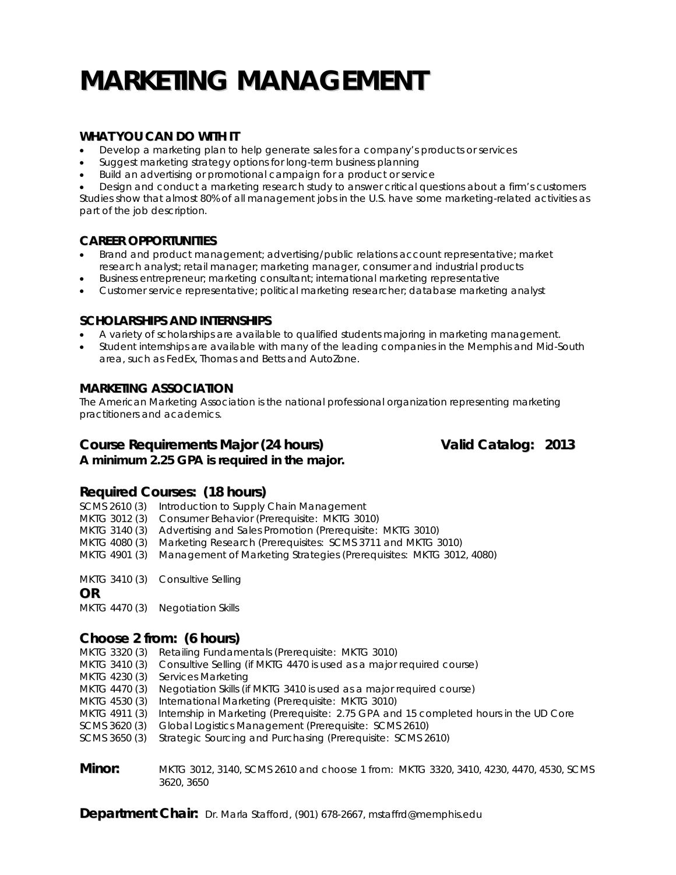# **MARKETING MANAGEMENT**

# **WHAT YOU CAN DO WITH IT**

- Develop a marketing plan to help generate sales for a company's products or services
- Suggest marketing strategy options for long-term business planning
- Build an advertising or promotional campaign for a product or service

 Design and conduct a marketing research study to answer critical questions about a firm's customers Studies show that almost 80% of all management jobs in the U.S. have some marketing-related activities as part of the job description.

### **CAREER OPPORTUNITIES**

- Brand and product management; advertising/public relations account representative; market research analyst; retail manager; marketing manager, consumer and industrial products
- Business entrepreneur; marketing consultant; international marketing representative
- Customer service representative; political marketing researcher; database marketing analyst

### **SCHOLARSHIPS AND INTERNSHIPS**

- A variety of scholarships are available to qualified students majoring in marketing management.
- Student internships are available with many of the leading companies in the Memphis and Mid-South area, such as FedEx, Thomas and Betts and AutoZone.

## **MARKETING ASSOCIATION**

The American Marketing Association is the national professional organization representing marketing practitioners and academics.

# **Course Requirements Major (24 hours) Valid Catalog: 2013**

*A minimum 2.25 GPA is required in the major.* 

# **Required Courses: (18 hours)**

SCMS 2610 (3) Introduction to Supply Chain Management

- MKTG 3012 (3) Consumer Behavior (Prerequisite: MKTG 3010)
- MKTG 3140 (3) Advertising and Sales Promotion (Prerequisite: MKTG 3010)
- MKTG 4080 (3) Marketing Research (Prerequisites: SCMS 3711 and MKTG 3010)
- MKTG 4901 (3) Management of Marketing Strategies (Prerequisites: MKTG 3012, 4080)

MKTG 3410 (3) Consultive Selling

**OR**

MKTG 4470 (3) Negotiation Skills

# **Choose 2 from: (6 hours)**

- MKTG 3320 (3) Retailing Fundamentals (Prerequisite: MKTG 3010)
- MKTG 3410 (3) Consultive Selling (if MKTG 4470 is used as a major required course)
- MKTG 4230 (3) Services Marketing
- MKTG 4470 (3) Negotiation Skills (if MKTG 3410 is used as a major required course)
- MKTG 4530 (3) International Marketing (Prerequisite: MKTG 3010)
- MKTG 4911 (3) Internship in Marketing (Prerequisite: 2.75 GPA and 15 completed hours in the UD Core
- SCMS 3620 (3) Global Logistics Management (Prerequisite: SCMS 2610)
- SCMS 3650 (3) Strategic Sourcing and Purchasing (Prerequisite: SCMS 2610)

**Minor:** MKTG 3012, 3140, SCMS 2610 and choose 1 from: MKTG 3320, 3410, 4230, 4470, 4530, SCMS 3620, 3650

**Department Chair:** Dr. Marla Stafford, (901) 678-2667, mstaffrd@memphis.edu